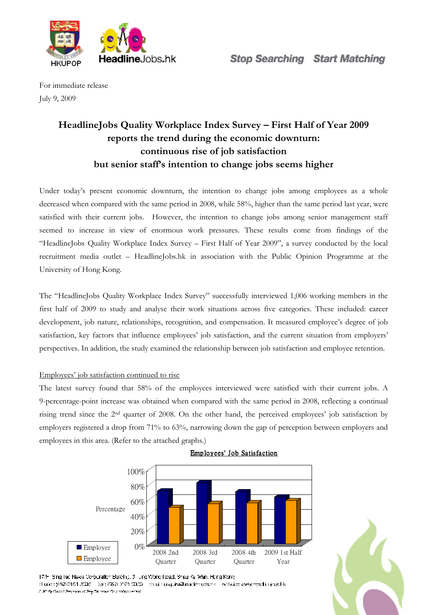

For immediate release July 9, 2009

# **HeadlineJobs Quality Workplace Index Survey – First Half of Year 2009 reports the trend during the economic downturn: continuous rise of job satisfaction but senior staff's intention to change jobs seems higher**

Under today's present economic downturn, the intention to change jobs among employees as a whole decreased when compared with the same period in 2008, while 58%, higher than the same period last year, were satisfied with their current jobs. However, the intention to change jobs among senior management staff seemed to increase in view of enormous work pressures. These results come from findings of the "HeadlineJobs Quality Workplace Index Survey – First Half of Year 2009", a survey conducted by the local recruitment media outlet – HeadlineJobs.hk in association with the Public Opinion Programme at the University of Hong Kong.

The "HeadlineJobs Quality Workplace Index Survey" successfully interviewed 1,006 working members in the first half of 2009 to study and analyse their work situations across five categories. These included: career development, job nature, relationships, recognition, and compensation. It measured employee's degree of job satisfaction, key factors that influence employees' job satisfaction, and the current situation from employers' perspectives. In addition, the study examined the relationship between job satisfaction and employee retention.

### Employees' job satisfaction continued to rise

The latest survey found that 58% of the employees interviewed were satisfied with their current jobs. A 9-percentage-point increase was obtained when compared with the same period in 2008, reflecting a continual rising trend since the 2nd quarter of 2008. On the other hand, the perceived employees' job satisfaction by employers registered a drop from 71% to 63%, narrowing down the gap of perception between employers and employees in this area. (Refer to the attached graphs.)



### Employees' Job Satisfaction



<sup>174-</sup> Bing facilitiews Corporation Bulleting, 3 Lung Wong Fread, Brisul Kel Wan, Heng Kong phone : (652) 3101 3526 [1] Said (652) 3131 3330 [1] phiai : ta quire@hauding.ope.nk [1] violation every modificiated k A direty Duant Perusawat Pro Tanzawa De product ended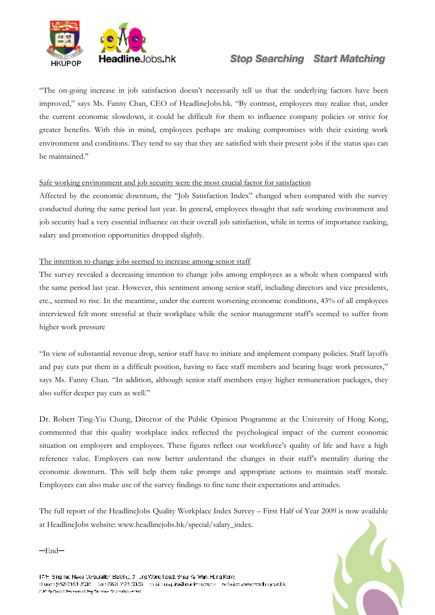

# **Stop Searching Start Matching**

"The on-going increase in job satisfaction doesn't necessarily tell us that the underlying factors have been improved," says Ms. Fanny Chan, CEO of HeadlineJobs.hk. "By contrast, employees may realize that, under the current economic slowdown, it could be difficult for them to influence company policies or strive for greater benefits. With this in mind, employees perhaps are making compromises with their existing work environment and conditions. They tend to say that they are satisfied with their present jobs if the status quo can be maintained."

#### Safe working environment and job security were the most crucial factor for satisfaction

Affected by the economic downturn, the "Job Satisfaction Index" changed when compared with the survey conducted during the same period last year. In general, employees thought that safe working environment and job security had a very essential influence on their overall job satisfaction, while in terms of importance ranking, salary and promotion opportunities dropped slightly.

#### The intention to change jobs seemed to increase among senior staff

The survey revealed a decreasing intention to change jobs among employees as a whole when compared with the same period last year. However, this sentiment among senior staff, including directors and vice presidents, etc., seemed to rise. In the meantime, under the current worsening economic conditions, 43% of all employees interviewed felt more stressful at their workplace while the senior management staff's seemed to suffer from higher work pressure

"In view of substantial revenue drop, senior staff have to initiate and implement company policies. Staff layoffs and pay cuts put them in a difficult position, having to face staff members and bearing huge work pressures," says Ms. Fanny Chan. "In addition, although senior staff members enjoy higher remuneration packages, they also suffer deeper pay cuts as well."

Dr. Robert Ting-Yiu Chung, Director of the Public Opinion Programme at the University of Hong Kong, commented that this quality workplace index reflected the psychological impact of the current economic situation on employers and employees. These figures reflect our workforce's quality of life and have a high reference value. Employers can now better understand the changes in their staff's mentality during the economic downturn. This will help them take prompt and appropriate actions to maintain staff morale. Employees can also make use of the survey findings to fine tune their expectations and attitudes.

The full report of the HeadlineJobs Quality Workplace Index Survey – First Half of Year 2009 is now available at HeadlineJobs website: www.headlinejobs.hk/special/salary\_index.

─End─